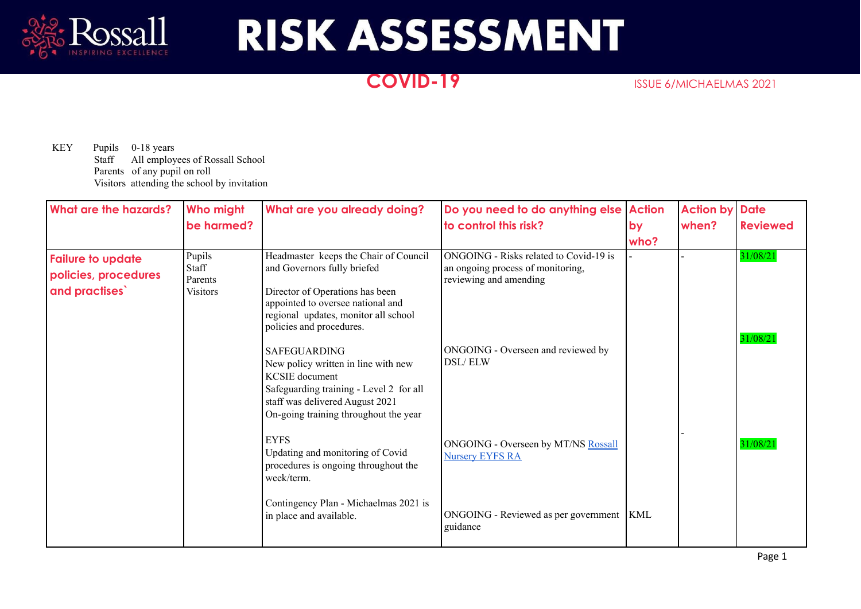

## **RISK ASSESSMENT**

## **COVID-19** ISSUE 6/MICHAELMAS 2021

KEY Pupils 0-18 years Staff All employees of Rossall School Parents of any pupil on roll Visitors attending the school by invitation

| What are the hazards?                                             | Who might                                     | What are you already doing?                                                                                                                                                                                      | Do you need to do anything else                                                                       | <b>Action</b> | <b>Action by</b> | <b>Date</b>          |
|-------------------------------------------------------------------|-----------------------------------------------|------------------------------------------------------------------------------------------------------------------------------------------------------------------------------------------------------------------|-------------------------------------------------------------------------------------------------------|---------------|------------------|----------------------|
|                                                                   | be harmed?                                    |                                                                                                                                                                                                                  | to control this risk?                                                                                 | by<br>who?    | when?            | <b>Reviewed</b>      |
| <b>Failure to update</b><br>policies, procedures<br>and practises | Pupils<br>Staff<br>Parents<br><b>Visitors</b> | Headmaster keeps the Chair of Council<br>and Governors fully briefed<br>Director of Operations has been<br>appointed to oversee national and<br>regional updates, monitor all school<br>policies and procedures. | ONGOING - Risks related to Covid-19 is<br>an ongoing process of monitoring,<br>reviewing and amending |               |                  | 31/08/21<br>31/08/21 |
|                                                                   |                                               | <b>SAFEGUARDING</b><br>New policy written in line with new<br><b>KCSIE</b> document<br>Safeguarding training - Level 2 for all<br>staff was delivered August 2021<br>On-going training throughout the year       | ONGOING - Overseen and reviewed by<br>DSL/ELW                                                         |               |                  |                      |
|                                                                   |                                               | <b>EYFS</b><br>Updating and monitoring of Covid<br>procedures is ongoing throughout the<br>week/term.                                                                                                            | ONGOING - Overseen by MT/NS Rossall<br><b>Nursery EYFS RA</b>                                         |               |                  | 31/08/21             |
|                                                                   |                                               | Contingency Plan - Michaelmas 2021 is<br>in place and available.                                                                                                                                                 | ONGOING - Reviewed as per government   KML<br>guidance                                                |               |                  |                      |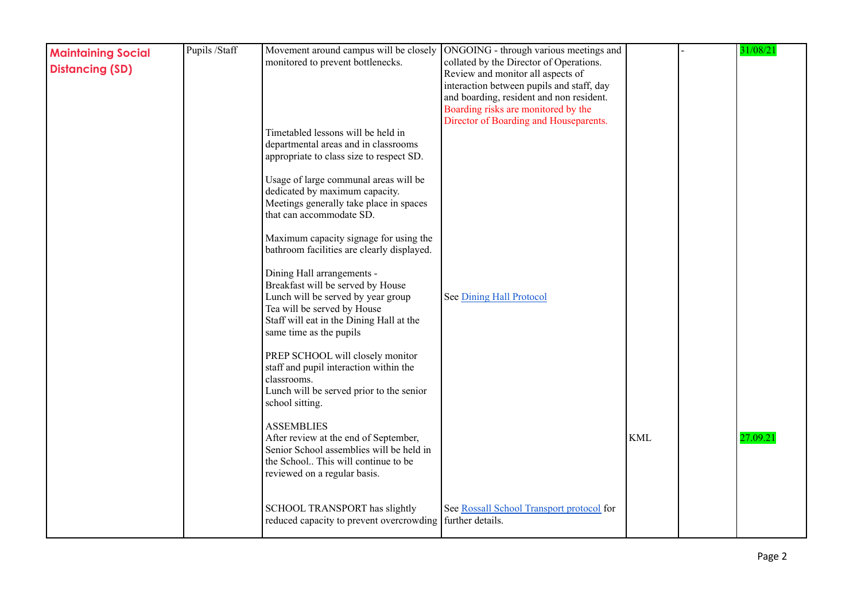| <b>Maintaining Social</b><br><b>Distancing (SD)</b> | Pupils /Staff | monitored to prevent bottlenecks.<br>Timetabled lessons will be held in<br>departmental areas and in classrooms<br>appropriate to class size to respect SD.<br>Usage of large communal areas will be<br>dedicated by maximum capacity.<br>Meetings generally take place in spaces<br>that can accommodate SD.                                                                                                                                | Movement around campus will be closely  ONGOING - through various meetings and<br>collated by the Director of Operations.<br>Review and monitor all aspects of<br>interaction between pupils and staff, day<br>and boarding, resident and non resident.<br>Boarding risks are monitored by the<br>Director of Boarding and Houseparents. |            | 31/08/21 |
|-----------------------------------------------------|---------------|----------------------------------------------------------------------------------------------------------------------------------------------------------------------------------------------------------------------------------------------------------------------------------------------------------------------------------------------------------------------------------------------------------------------------------------------|------------------------------------------------------------------------------------------------------------------------------------------------------------------------------------------------------------------------------------------------------------------------------------------------------------------------------------------|------------|----------|
|                                                     |               | Maximum capacity signage for using the<br>bathroom facilities are clearly displayed.<br>Dining Hall arrangements -<br>Breakfast will be served by House<br>Lunch will be served by year group<br>Tea will be served by House<br>Staff will eat in the Dining Hall at the<br>same time as the pupils<br>PREP SCHOOL will closely monitor<br>staff and pupil interaction within the<br>classrooms.<br>Lunch will be served prior to the senior | See Dining Hall Protocol                                                                                                                                                                                                                                                                                                                 |            |          |
|                                                     |               | school sitting.<br><b>ASSEMBLIES</b><br>After review at the end of September,<br>Senior School assemblies will be held in<br>the School This will continue to be<br>reviewed on a regular basis.                                                                                                                                                                                                                                             |                                                                                                                                                                                                                                                                                                                                          | <b>KML</b> | 27.09.21 |
|                                                     |               | SCHOOL TRANSPORT has slightly<br>reduced capacity to prevent overcrowding   further details.                                                                                                                                                                                                                                                                                                                                                 | See Rossall School Transport protocol for                                                                                                                                                                                                                                                                                                |            |          |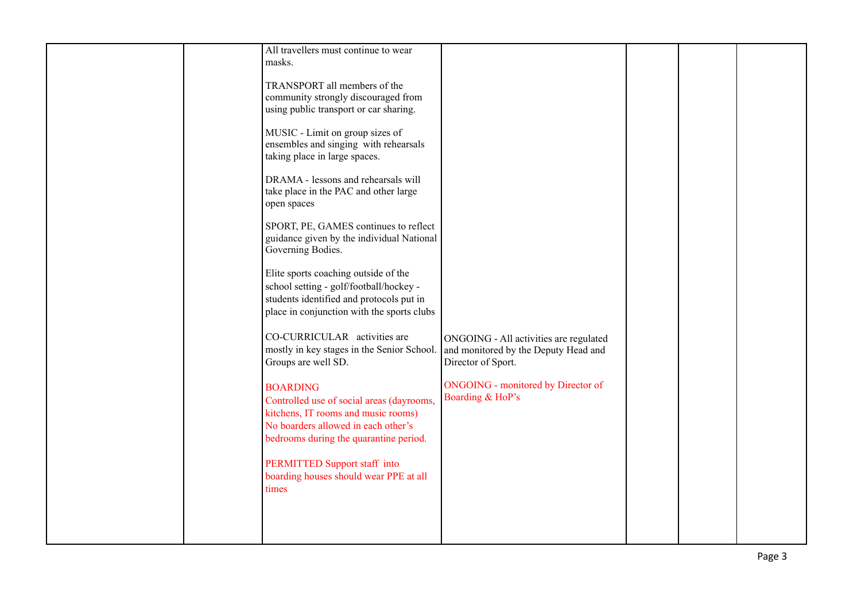| All travellers must continue to wear<br>masks.                                                                                                                                                                                                        |
|-------------------------------------------------------------------------------------------------------------------------------------------------------------------------------------------------------------------------------------------------------|
| TRANSPORT all members of the<br>community strongly discouraged from<br>using public transport or car sharing.                                                                                                                                         |
| MUSIC - Limit on group sizes of<br>ensembles and singing with rehearsals<br>taking place in large spaces.                                                                                                                                             |
| DRAMA - lessons and rehearsals will<br>take place in the PAC and other large<br>open spaces                                                                                                                                                           |
| SPORT, PE, GAMES continues to reflect<br>guidance given by the individual National<br>Governing Bodies.                                                                                                                                               |
| Elite sports coaching outside of the<br>school setting - golf/football/hockey -<br>students identified and protocols put in<br>place in conjunction with the sports clubs                                                                             |
| CO-CURRICULAR activities are<br>ONGOING - All activities are regulated<br>mostly in key stages in the Senior School.<br>and monitored by the Deputy Head and<br>Director of Sport.<br>Groups are well SD.                                             |
| <b>ONGOING</b> - monitored by Director of<br><b>BOARDING</b><br>Boarding & HoP's<br>Controlled use of social areas (dayrooms,<br>kitchens, IT rooms and music rooms)<br>No boarders allowed in each other's<br>bedrooms during the quarantine period. |
| PERMITTED Support staff into<br>boarding houses should wear PPE at all<br>times                                                                                                                                                                       |
|                                                                                                                                                                                                                                                       |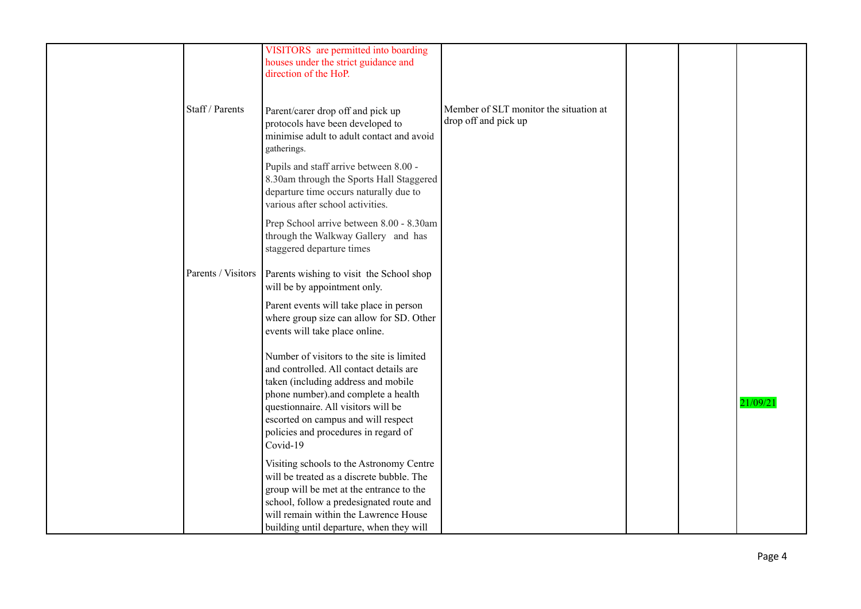|                    | VISITORS are permitted into boarding<br>houses under the strict guidance and<br>direction of the HoP.                                                                                                                                                                                                |                                                                |  |          |
|--------------------|------------------------------------------------------------------------------------------------------------------------------------------------------------------------------------------------------------------------------------------------------------------------------------------------------|----------------------------------------------------------------|--|----------|
| Staff / Parents    | Parent/carer drop off and pick up<br>protocols have been developed to<br>minimise adult to adult contact and avoid<br>gatherings.                                                                                                                                                                    | Member of SLT monitor the situation at<br>drop off and pick up |  |          |
|                    | Pupils and staff arrive between 8.00 -<br>8.30am through the Sports Hall Staggered<br>departure time occurs naturally due to<br>various after school activities.                                                                                                                                     |                                                                |  |          |
|                    | Prep School arrive between 8.00 - 8.30am<br>through the Walkway Gallery and has<br>staggered departure times                                                                                                                                                                                         |                                                                |  |          |
| Parents / Visitors | Parents wishing to visit the School shop<br>will be by appointment only.                                                                                                                                                                                                                             |                                                                |  |          |
|                    | Parent events will take place in person<br>where group size can allow for SD. Other<br>events will take place online.                                                                                                                                                                                |                                                                |  |          |
|                    | Number of visitors to the site is limited<br>and controlled. All contact details are<br>taken (including address and mobile<br>phone number).and complete a health<br>questionnaire. All visitors will be<br>escorted on campus and will respect<br>policies and procedures in regard of<br>Covid-19 |                                                                |  | 21/09/21 |
|                    | Visiting schools to the Astronomy Centre<br>will be treated as a discrete bubble. The<br>group will be met at the entrance to the<br>school, follow a predesignated route and<br>will remain within the Lawrence House<br>building until departure, when they will                                   |                                                                |  |          |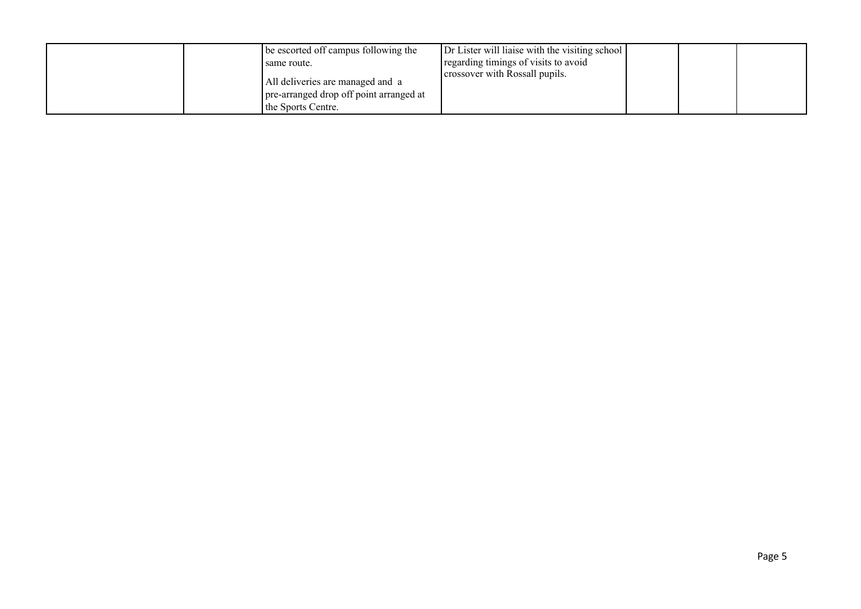| be escorted off campus following the    | Dr Lister will liaise with the visiting school |  |  |
|-----------------------------------------|------------------------------------------------|--|--|
| I same route.                           | regarding timings of visits to avoid           |  |  |
|                                         | crossover with Rossall pupils.                 |  |  |
| All deliveries are managed and a        |                                                |  |  |
| pre-arranged drop off point arranged at |                                                |  |  |
| the Sports Centre.                      |                                                |  |  |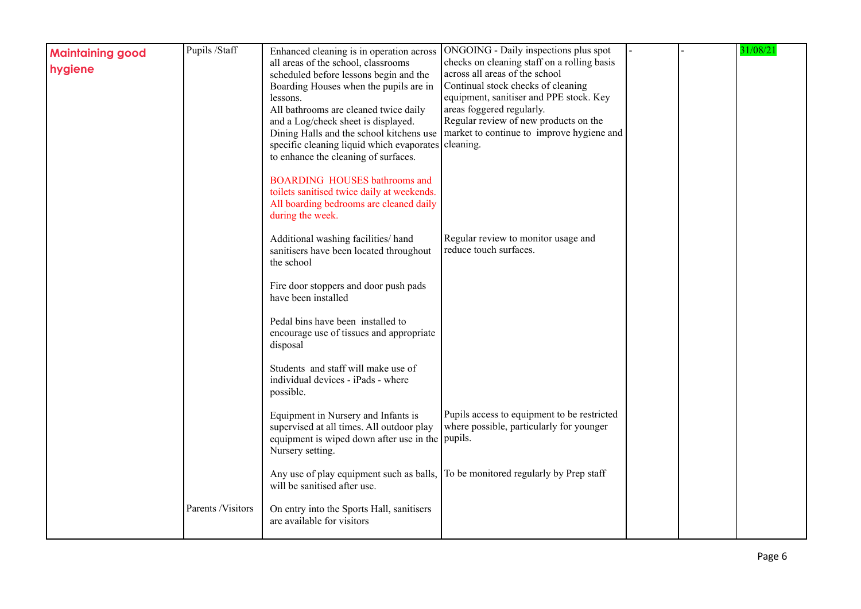| <b>Maintaining good</b><br>hygiene | Pupils /Staff     | Enhanced cleaning is in operation across<br>all areas of the school, classrooms<br>scheduled before lessons begin and the<br>Boarding Houses when the pupils are in<br>lessons.<br>All bathrooms are cleaned twice daily<br>and a Log/check sheet is displayed.<br>Dining Halls and the school kitchens use<br>specific cleaning liquid which evaporates cleaning.<br>to enhance the cleaning of surfaces. | ONGOING - Daily inspections plus spot<br>checks on cleaning staff on a rolling basis<br>across all areas of the school<br>Continual stock checks of cleaning<br>equipment, sanitiser and PPE stock. Key<br>areas foggered regularly.<br>Regular review of new products on the<br>market to continue to improve hygiene and |  | 31/08/21 |
|------------------------------------|-------------------|------------------------------------------------------------------------------------------------------------------------------------------------------------------------------------------------------------------------------------------------------------------------------------------------------------------------------------------------------------------------------------------------------------|----------------------------------------------------------------------------------------------------------------------------------------------------------------------------------------------------------------------------------------------------------------------------------------------------------------------------|--|----------|
|                                    |                   | <b>BOARDING HOUSES bathrooms and</b><br>toilets sanitised twice daily at weekends.<br>All boarding bedrooms are cleaned daily<br>during the week.                                                                                                                                                                                                                                                          |                                                                                                                                                                                                                                                                                                                            |  |          |
|                                    |                   | Additional washing facilities/ hand<br>sanitisers have been located throughout<br>the school                                                                                                                                                                                                                                                                                                               | Regular review to monitor usage and<br>reduce touch surfaces.                                                                                                                                                                                                                                                              |  |          |
|                                    |                   | Fire door stoppers and door push pads<br>have been installed                                                                                                                                                                                                                                                                                                                                               |                                                                                                                                                                                                                                                                                                                            |  |          |
|                                    |                   | Pedal bins have been installed to<br>encourage use of tissues and appropriate<br>disposal                                                                                                                                                                                                                                                                                                                  |                                                                                                                                                                                                                                                                                                                            |  |          |
|                                    |                   | Students and staff will make use of<br>individual devices - iPads - where<br>possible.                                                                                                                                                                                                                                                                                                                     |                                                                                                                                                                                                                                                                                                                            |  |          |
|                                    |                   | Equipment in Nursery and Infants is<br>supervised at all times. All outdoor play<br>equipment is wiped down after use in the pupils.<br>Nursery setting.                                                                                                                                                                                                                                                   | Pupils access to equipment to be restricted<br>where possible, particularly for younger                                                                                                                                                                                                                                    |  |          |
|                                    |                   | Any use of play equipment such as balls, To be monitored regularly by Prep staff<br>will be sanitised after use.                                                                                                                                                                                                                                                                                           |                                                                                                                                                                                                                                                                                                                            |  |          |
|                                    | Parents /Visitors | On entry into the Sports Hall, sanitisers<br>are available for visitors                                                                                                                                                                                                                                                                                                                                    |                                                                                                                                                                                                                                                                                                                            |  |          |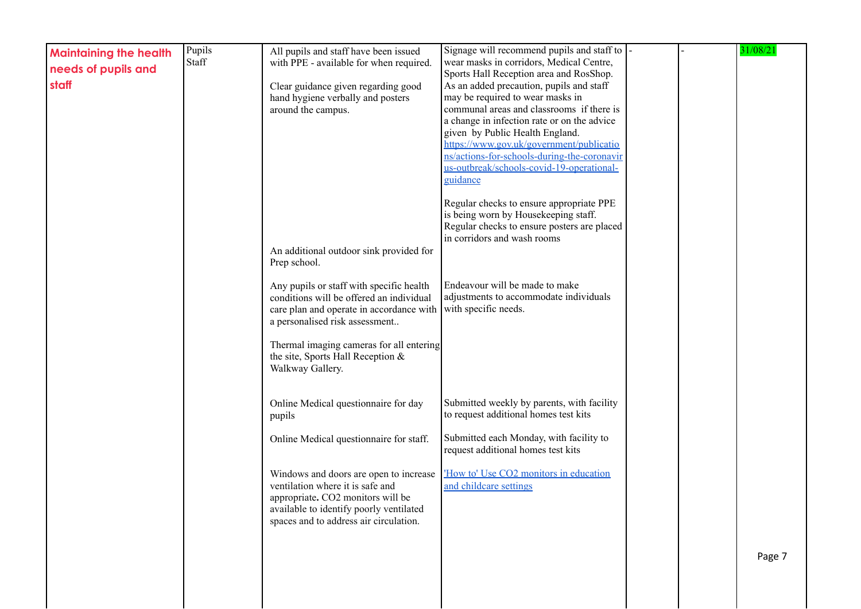| <b>Maintaining the health</b><br>needs of pupils and<br>staff | Pupils<br>Staff | All pupils and staff have been issued<br>with PPE - available for when required.<br>Clear guidance given regarding good<br>hand hygiene verbally and posters<br>around the campus.                                                                                                      | Signage will recommend pupils and staff to<br>wear masks in corridors, Medical Centre,<br>Sports Hall Reception area and RosShop.<br>As an added precaution, pupils and staff<br>may be required to wear masks in<br>communal areas and classrooms if there is<br>a change in infection rate or on the advice<br>given by Public Health England.<br>https://www.gov.uk/government/publicatio |  | 31/08/21 |
|---------------------------------------------------------------|-----------------|-----------------------------------------------------------------------------------------------------------------------------------------------------------------------------------------------------------------------------------------------------------------------------------------|----------------------------------------------------------------------------------------------------------------------------------------------------------------------------------------------------------------------------------------------------------------------------------------------------------------------------------------------------------------------------------------------|--|----------|
|                                                               |                 |                                                                                                                                                                                                                                                                                         | ns/actions-for-schools-during-the-coronavir<br>us-outbreak/schools-covid-19-operational-<br>guidance                                                                                                                                                                                                                                                                                         |  |          |
|                                                               |                 | An additional outdoor sink provided for                                                                                                                                                                                                                                                 | Regular checks to ensure appropriate PPE<br>is being worn by Housekeeping staff.<br>Regular checks to ensure posters are placed<br>in corridors and wash rooms                                                                                                                                                                                                                               |  |          |
|                                                               |                 | Prep school.<br>Any pupils or staff with specific health<br>conditions will be offered an individual<br>care plan and operate in accordance with<br>a personalised risk assessment<br>Thermal imaging cameras for all entering<br>the site, Sports Hall Reception &<br>Walkway Gallery. | Endeavour will be made to make<br>adjustments to accommodate individuals<br>with specific needs.                                                                                                                                                                                                                                                                                             |  |          |
|                                                               |                 | Online Medical questionnaire for day<br>pupils<br>Online Medical questionnaire for staff.                                                                                                                                                                                               | Submitted weekly by parents, with facility<br>to request additional homes test kits<br>Submitted each Monday, with facility to                                                                                                                                                                                                                                                               |  |          |
|                                                               |                 | Windows and doors are open to increase<br>ventilation where it is safe and<br>appropriate. CO2 monitors will be<br>available to identify poorly ventilated<br>spaces and to address air circulation.                                                                                    | request additional homes test kits<br>'How to' Use CO2 monitors in education<br>and childcare settings                                                                                                                                                                                                                                                                                       |  |          |
|                                                               |                 |                                                                                                                                                                                                                                                                                         |                                                                                                                                                                                                                                                                                                                                                                                              |  | Page 7   |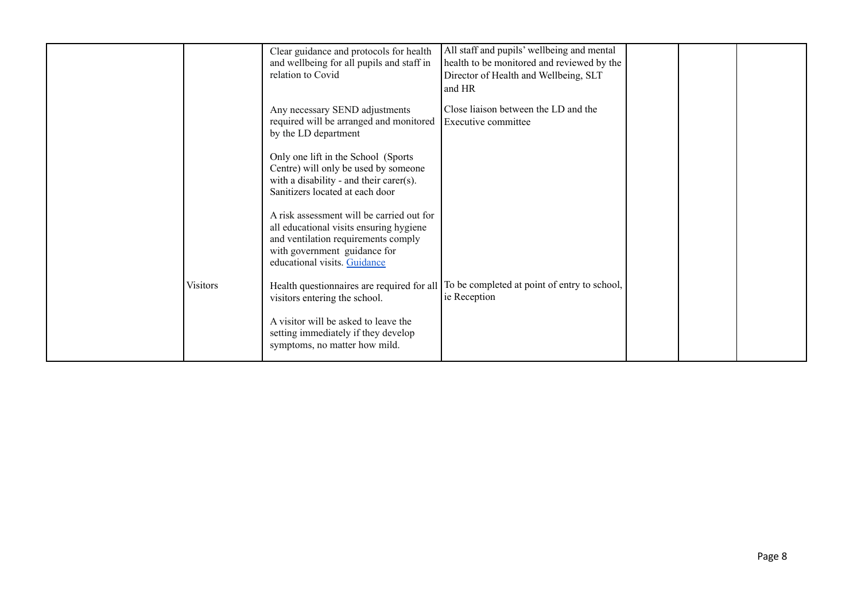|                 | Clear guidance and protocols for health<br>and wellbeing for all pupils and staff in<br>relation to Covid                                                                                   | All staff and pupils' wellbeing and mental<br>health to be monitored and reviewed by the<br>Director of Health and Wellbeing, SLT<br>and HR |  |  |
|-----------------|---------------------------------------------------------------------------------------------------------------------------------------------------------------------------------------------|---------------------------------------------------------------------------------------------------------------------------------------------|--|--|
|                 | Any necessary SEND adjustments<br>required will be arranged and monitored<br>by the LD department                                                                                           | Close liaison between the LD and the<br>Executive committee                                                                                 |  |  |
|                 | Only one lift in the School (Sports<br>Centre) will only be used by someone<br>with a disability - and their carer(s).<br>Sanitizers located at each door                                   |                                                                                                                                             |  |  |
|                 | A risk assessment will be carried out for<br>all educational visits ensuring hygiene<br>and ventilation requirements comply<br>with government guidance for<br>educational visits. Guidance |                                                                                                                                             |  |  |
| <b>Visitors</b> | Health questionnaires are required for all<br>visitors entering the school.                                                                                                                 | To be completed at point of entry to school,<br>ie Reception                                                                                |  |  |
|                 | A visitor will be asked to leave the<br>setting immediately if they develop<br>symptoms, no matter how mild.                                                                                |                                                                                                                                             |  |  |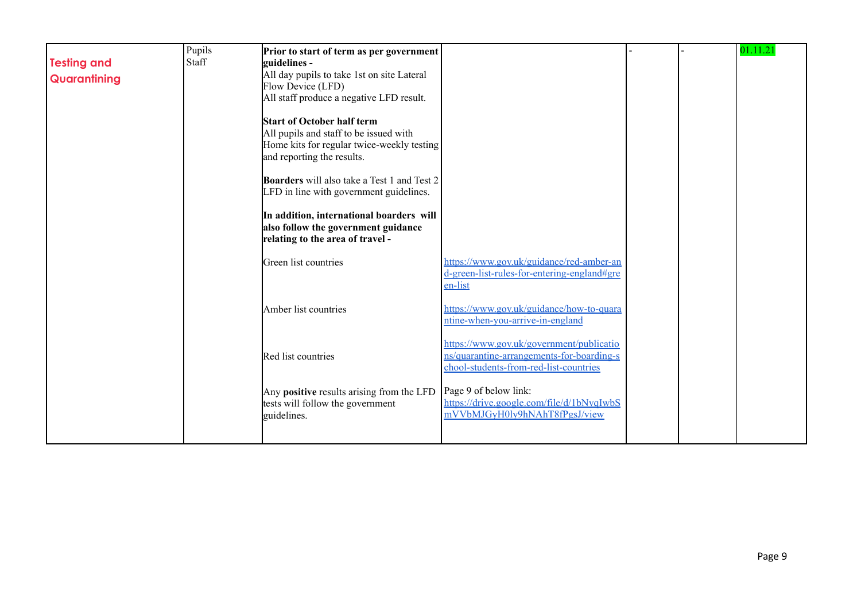|                    | Pupils | Prior to start of term as per government           |                                             |  | 01.11.21 |
|--------------------|--------|----------------------------------------------------|---------------------------------------------|--|----------|
| <b>Testing and</b> | Staff  | guidelines -                                       |                                             |  |          |
| Quarantining       |        | All day pupils to take 1st on site Lateral         |                                             |  |          |
|                    |        | Flow Device (LFD)                                  |                                             |  |          |
|                    |        | All staff produce a negative LFD result.           |                                             |  |          |
|                    |        | <b>Start of October half term</b>                  |                                             |  |          |
|                    |        | All pupils and staff to be issued with             |                                             |  |          |
|                    |        | Home kits for regular twice-weekly testing         |                                             |  |          |
|                    |        | and reporting the results.                         |                                             |  |          |
|                    |        | <b>Boarders</b> will also take a Test 1 and Test 2 |                                             |  |          |
|                    |        | LFD in line with government guidelines.            |                                             |  |          |
|                    |        |                                                    |                                             |  |          |
|                    |        | In addition, international boarders will           |                                             |  |          |
|                    |        | also follow the government guidance                |                                             |  |          |
|                    |        | relating to the area of travel -                   |                                             |  |          |
|                    |        | Green list countries                               | https://www.gov.uk/guidance/red-amber-an    |  |          |
|                    |        |                                                    | d-green-list-rules-for-entering-england#gre |  |          |
|                    |        |                                                    | en-list                                     |  |          |
|                    |        | Amber list countries                               | https://www.gov.uk/guidance/how-to-quara    |  |          |
|                    |        |                                                    | ntine-when-you-arrive-in-england            |  |          |
|                    |        |                                                    |                                             |  |          |
|                    |        |                                                    | https://www.gov.uk/government/publicatio    |  |          |
|                    |        | Red list countries                                 | ns/quarantine-arrangements-for-boarding-s   |  |          |
|                    |        |                                                    | chool-students-from-red-list-countries      |  |          |
|                    |        | Any positive results arising from the LFD          | Page 9 of below link:                       |  |          |
|                    |        | tests will follow the government                   | https://drive.google.com/file/d/1bNvqIwbS   |  |          |
|                    |        | guidelines.                                        | mVVbMJGyH0ly9hNAhT8fPgsJ/view               |  |          |
|                    |        |                                                    |                                             |  |          |
|                    |        |                                                    |                                             |  |          |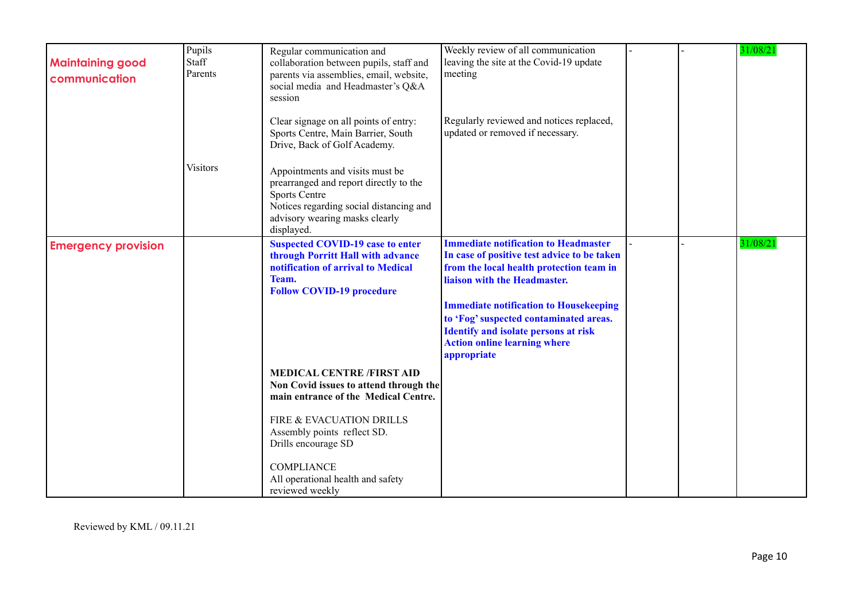| <b>Maintaining good</b><br>communication | Pupils<br>Staff<br>Parents | Regular communication and<br>collaboration between pupils, staff and<br>parents via assemblies, email, website,<br>social media and Headmaster's Q&A<br>session                              | Weekly review of all communication<br>leaving the site at the Covid-19 update<br>meeting                                                                                                                                                                                                                                                                               |  | 31/08/21 |
|------------------------------------------|----------------------------|----------------------------------------------------------------------------------------------------------------------------------------------------------------------------------------------|------------------------------------------------------------------------------------------------------------------------------------------------------------------------------------------------------------------------------------------------------------------------------------------------------------------------------------------------------------------------|--|----------|
|                                          |                            | Clear signage on all points of entry:<br>Sports Centre, Main Barrier, South<br>Drive, Back of Golf Academy.                                                                                  | Regularly reviewed and notices replaced,<br>updated or removed if necessary.                                                                                                                                                                                                                                                                                           |  |          |
|                                          | <b>Visitors</b>            | Appointments and visits must be<br>prearranged and report directly to the<br><b>Sports Centre</b><br>Notices regarding social distancing and<br>advisory wearing masks clearly<br>displayed. |                                                                                                                                                                                                                                                                                                                                                                        |  |          |
| <b>Emergency provision</b>               |                            | <b>Suspected COVID-19 case to enter</b><br>through Porritt Hall with advance<br>notification of arrival to Medical<br>Team.<br><b>Follow COVID-19 procedure</b>                              | <b>Immediate notification to Headmaster</b><br>In case of positive test advice to be taken<br>from the local health protection team in<br>liaison with the Headmaster.<br><b>Immediate notification to Housekeeping</b><br>to 'Fog' suspected contaminated areas.<br><b>Identify and isolate persons at risk</b><br><b>Action online learning where</b><br>appropriate |  | 31/08/21 |
|                                          |                            | <b>MEDICAL CENTRE /FIRST AID</b><br>Non Covid issues to attend through the<br>main entrance of the Medical Centre.<br>FIRE & EVACUATION DRILLS<br>Assembly points reflect SD.                |                                                                                                                                                                                                                                                                                                                                                                        |  |          |
|                                          |                            | Drills encourage SD<br><b>COMPLIANCE</b><br>All operational health and safety<br>reviewed weekly                                                                                             |                                                                                                                                                                                                                                                                                                                                                                        |  |          |